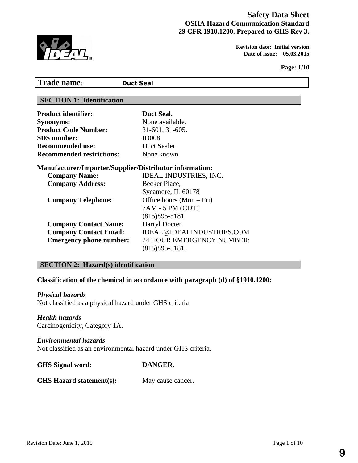# **Safety Data Sheet OSHA Hazard Communication Standard 29 CFR 1910.1200. Prepared to GHS Rev 3.**



**Revision date:** Initial version<br> **PAYL**<br> **EXECUTE:** Date of issue: 05.03.2015 **Date of issue: 05.03.2015** 

**Page: 1/10**

| <b>Trade name:</b>                                                                              | <b>Duct Seal</b>                                                                                         |  |
|-------------------------------------------------------------------------------------------------|----------------------------------------------------------------------------------------------------------|--|
| <b>SECTION 1: Identification</b>                                                                |                                                                                                          |  |
| <b>Product identifier:</b>                                                                      | Duct Seal.                                                                                               |  |
| <b>Synonyms:</b>                                                                                | None available.                                                                                          |  |
| <b>Product Code Number:</b>                                                                     | 31-601, 31-605.                                                                                          |  |
| <b>SDS</b> number:                                                                              | ID <sub>008</sub>                                                                                        |  |
| <b>Recommended use:</b>                                                                         | Duct Sealer.                                                                                             |  |
| <b>Recommended restrictions:</b>                                                                | None known.                                                                                              |  |
| <b>Manufacturer/Importer/Supplier/Distributor information:</b>                                  |                                                                                                          |  |
| <b>Company Name:</b>                                                                            | <b>IDEAL INDUSTRIES, INC.</b>                                                                            |  |
| <b>Company Address:</b><br><b>Company Telephone:</b>                                            | Becker Place,<br>Sycamore, IL 60178<br>Office hours (Mon – Fri)<br>7AM - 5 PM (CDT)<br>$(815)895 - 5181$ |  |
| <b>Company Contact Name:</b><br><b>Company Contact Email:</b><br><b>Emergency phone number:</b> | Darryl Docter.<br>IDEAL@IDEALINDUSTRIES.COM<br><b>24 HOUR EMERGENCY NUMBER:</b><br>$(815)895 - 5181.$    |  |

# **SECTION 2: Hazard(s) identification**

# **Classification of the chemical in accordance with paragraph (d) of §1910.1200:**

#### *Physical hazards*

Not classified as a physical hazard under GHS criteria

## *Health hazards*

Carcinogenicity, Category 1A.

#### *Environmental hazards*

Not classified as an environmental hazard under GHS criteria.

| <b>GHS</b> Signal word: | DANGER. |
|-------------------------|---------|
|-------------------------|---------|

## **GHS Hazard statement(s):** May cause cancer.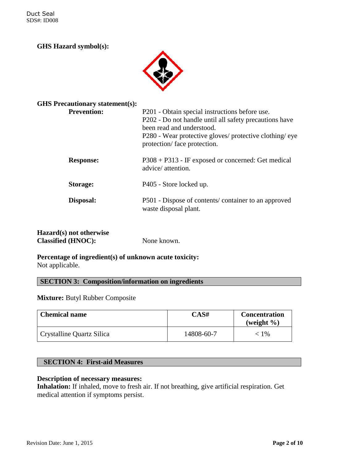Duct Seal SDS#: ID008

# **GHS Hazard symbol(s):**



| <b>GHS Precautionary statement(s):</b> |                                                                                                                                                                                                                                |
|----------------------------------------|--------------------------------------------------------------------------------------------------------------------------------------------------------------------------------------------------------------------------------|
| <b>Prevention:</b>                     | P201 - Obtain special instructions before use.<br>P202 - Do not handle until all safety precautions have<br>been read and understood.<br>P280 - Wear protective gloves/ protective clothing/eye<br>protection/face protection. |
| <b>Response:</b>                       | $P308 + P313$ - IF exposed or concerned: Get medical<br>advice/attention.                                                                                                                                                      |
| Storage:                               | P405 - Store locked up.                                                                                                                                                                                                        |
| Disposal:                              | P501 - Dispose of contents/container to an approved<br>waste disposal plant.                                                                                                                                                   |
|                                        |                                                                                                                                                                                                                                |

# **Hazard(s) not otherwise Classified (HNOC):** None known.

## **Percentage of ingredient(s) of unknown acute toxicity:**  Not applicable.

# **SECTION 3: Composition/information on ingredients**

#### **Mixture:** Butyl Rubber Composite

| <b>Chemical name</b>      | CAS#       | <b>Concentration</b><br>(weight $\%$ ) |
|---------------------------|------------|----------------------------------------|
| Crystalline Quartz Silica | 14808-60-7 | $< 1\%$                                |

## **SECTION 4: First-aid Measures**

#### **Description of necessary measures:**

**Inhalation:** If inhaled, move to fresh air. If not breathing, give artificial respiration. Get medical attention if symptoms persist.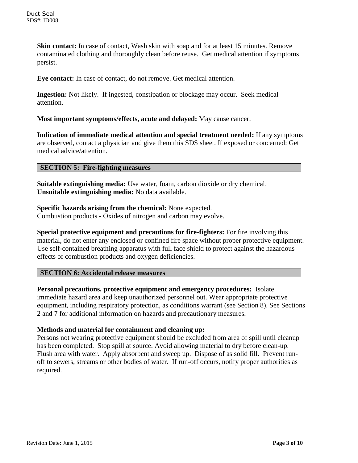**Skin contact:** In case of contact, Wash skin with soap and for at least 15 minutes. Remove contaminated clothing and thoroughly clean before reuse. Get medical attention if symptoms persist.

**Eye contact:** In case of contact, do not remove. Get medical attention.

**Ingestion:** Not likely. If ingested, constipation or blockage may occur. Seek medical attention.

**Most important symptoms/effects, acute and delayed:** May cause cancer.

**Indication of immediate medical attention and special treatment needed:** If any symptoms are observed, contact a physician and give them this SDS sheet. If exposed or concerned: Get medical advice/attention.

## **SECTION 5: Fire-fighting measures**

**Suitable extinguishing media:** Use water, foam, carbon dioxide or dry chemical. **Unsuitable extinguishing media:** No data available.

**Specific hazards arising from the chemical:** None expected. Combustion products - Oxides of nitrogen and carbon may evolve.

**Special protective equipment and precautions for fire-fighters:** For fire involving this material, do not enter any enclosed or confined fire space without proper protective equipment. Use self-contained breathing apparatus with full face shield to protect against the hazardous effects of combustion products and oxygen deficiencies.

#### **SECTION 6: Accidental release measures**

**Personal precautions, protective equipment and emergency procedures:** Isolate immediate hazard area and keep unauthorized personnel out. Wear appropriate protective equipment, including respiratory protection, as conditions warrant (see Section 8). See Sections 2 and 7 for additional information on hazards and precautionary measures.

#### **Methods and material for containment and cleaning up:**

Persons not wearing protective equipment should be excluded from area of spill until cleanup has been completed. Stop spill at source. Avoid allowing material to dry before clean-up. Flush area with water. Apply absorbent and sweep up. Dispose of as solid fill. Prevent runoff to sewers, streams or other bodies of water. If run-off occurs, notify proper authorities as required.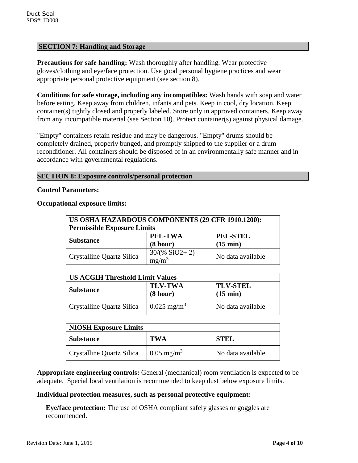## **SECTION 7: Handling and Storage**

**Precautions for safe handling:** Wash thoroughly after handling. Wear protective gloves/clothing and eye/face protection. Use good personal hygiene practices and wear appropriate personal protective equipment (see section 8).

**Conditions for safe storage, including any incompatibles:** Wash hands with soap and water before eating. Keep away from children, infants and pets. Keep in cool, dry location. Keep container(s) tightly closed and properly labeled. Store only in approved containers. Keep away from any incompatible material (see Section 10). Protect container(s) against physical damage.

"Empty" containers retain residue and may be dangerous. "Empty" drums should be completely drained, properly bunged, and promptly shipped to the supplier or a drum reconditioner. All containers should be disposed of in an environmentally safe manner and in accordance with governmental regulations.

# **SECTION 8: Exposure controls/personal protection**

#### **Control Parameters:**

**Occupational exposure limits:**

| US OSHA HAZARDOUS COMPONENTS (29 CFR 1910.1200): |                             |                                       |  |
|--------------------------------------------------|-----------------------------|---------------------------------------|--|
| <b>Permissible Exposure Limits</b>               |                             |                                       |  |
| <b>Substance</b>                                 | PEL-TWA<br>(8 hour)         | <b>PEL-STEL</b><br>$(15 \text{ min})$ |  |
| Crystalline Quartz Silica                        | $30/(%$ SiO2+2)<br>$mg/m^3$ | No data available                     |  |

| <b>US ACGIH Threshold Limit Values</b> |                            |                                       |  |
|----------------------------------------|----------------------------|---------------------------------------|--|
| <b>Substance</b>                       | <b>TLV-TWA</b><br>(8 hour) | <b>TLV-STEL</b><br>$(15 \text{ min})$ |  |
| Crystalline Quartz Silica              | $0.025$ mg/m <sup>3</sup>  | No data available                     |  |

| <b>NIOSH Exposure Limits</b> |                       |                   |
|------------------------------|-----------------------|-------------------|
| <b>Substance</b>             | TWA                   | <b>STEL</b>       |
| Crystalline Quartz Silica    | $0.05 \text{ mg/m}^3$ | No data available |

**Appropriate engineering controls:** General (mechanical) room ventilation is expected to be adequate. Special local ventilation is recommended to keep dust below exposure limits.

#### **Individual protection measures, such as personal protective equipment:**

**Eye/face protection:** The use of OSHA compliant safely glasses or goggles are recommended.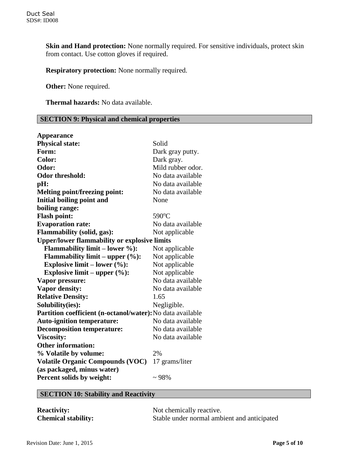**Skin and Hand protection:** None normally required. For sensitive individuals, protect skin from contact. Use cotton gloves if required.

**Respiratory protection:** None normally required.

**Other:** None required.

 **Thermal hazards:** No data available.

## **SECTION 9: Physical and chemical properties**

| <b>Appearance</b>                                          |                   |
|------------------------------------------------------------|-------------------|
| <b>Physical state:</b>                                     | Solid             |
| Form:                                                      | Dark gray putty.  |
| Color:                                                     | Dark gray.        |
| Odor:                                                      | Mild rubber odor. |
| <b>Odor threshold:</b>                                     | No data available |
| pH:                                                        | No data available |
| <b>Melting point/freezing point:</b>                       | No data available |
| Initial boiling point and                                  | None              |
| boiling range:                                             |                   |
| <b>Flash point:</b>                                        | 590°C             |
| <b>Evaporation rate:</b>                                   | No data available |
| <b>Flammability (solid, gas):</b>                          | Not applicable    |
| <b>Upper/lower flammability or explosive limits</b>        |                   |
| <b>Flammability limit – lower %):</b>                      | Not applicable    |
| Flammability limit – upper $(\%):$                         | Not applicable    |
| Explosive limit – lower $(\%):$                            | Not applicable    |
| Explosive limit – upper $(\%):$                            | Not applicable    |
| Vapor pressure:                                            | No data available |
| <b>Vapor density:</b>                                      | No data available |
| <b>Relative Density:</b>                                   | 1.65              |
| Solubility(ies):                                           | Negligible.       |
| Partition coefficient (n-octanol/water): No data available |                   |
| <b>Auto-ignition temperature:</b>                          | No data available |
| <b>Decomposition temperature:</b>                          | No data available |
| <b>Viscosity:</b>                                          | No data available |
| <b>Other information:</b>                                  |                   |
| % Volatile by volume:                                      | 2%                |
| <b>Volatile Organic Compounds (VOC)</b>                    | 17 grams/liter    |
| (as packaged, minus water)                                 |                   |
| Percent solids by weight:                                  | $~1.98\%$         |

# **SECTION 10: Stability and Reactivity**

| <b>Reactivity:</b>         | Not chemically reactive.                    |
|----------------------------|---------------------------------------------|
| <b>Chemical stability:</b> | Stable under normal ambient and anticipated |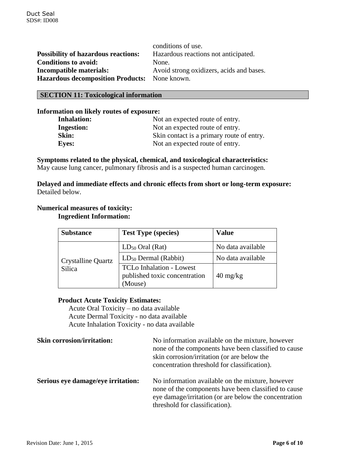|                                               | conditions of use.                       |
|-----------------------------------------------|------------------------------------------|
| <b>Possibility of hazardous reactions:</b>    | Hazardous reactions not anticipated.     |
| <b>Conditions to avoid:</b>                   | None.                                    |
| <b>Incompatible materials:</b>                | Avoid strong oxidizers, acids and bases. |
| Hazardous decomposition Products: None known. |                                          |

## **SECTION 11: Toxicological information**

#### **Information on likely routes of exposure:**

| <b>Inhalation:</b> | Not an expected route of entry.           |  |
|--------------------|-------------------------------------------|--|
| <b>Ingestion:</b>  | Not an expected route of entry.           |  |
| Skin:              | Skin contact is a primary route of entry. |  |
| <b>Eyes:</b>       | Not an expected route of entry.           |  |

## **Symptoms related to the physical, chemical, and toxicological characteristics:**

May cause lung cancer, pulmonary fibrosis and is a suspected human carcinogen.

## **Delayed and immediate effects and chronic effects from short or long-term exposure:** Detailed below.

#### **Numerical measures of toxicity:**

## **Ingredient Information:**

| <b>Substance</b>          | <b>Test Type (species)</b>                                                  | Value                            |
|---------------------------|-----------------------------------------------------------------------------|----------------------------------|
|                           | $LD_{50}$ Oral (Rat)                                                        | No data available                |
| <b>Crystalline Quartz</b> | $LD_{50}$ Dermal (Rabbit)                                                   | No data available                |
| <b>Silica</b>             | <b>TCLo Inhalation - Lowest</b><br>published toxic concentration<br>(Mouse) | $40 \frac{\text{mg}}{\text{kg}}$ |

## **Product Acute Toxicity Estimates:**

Acute Oral Toxicity – no data available Acute Dermal Toxicity - no data available Acute Inhalation Toxicity - no data available

| <b>Skin corrosion/irritation:</b>  | No information available on the mixture, however<br>none of the components have been classified to cause<br>skin corrosion/irritation (or are below the<br>concentration threshold for classification). |
|------------------------------------|---------------------------------------------------------------------------------------------------------------------------------------------------------------------------------------------------------|
| Serious eye damage/eye irritation: | No information available on the mixture, however<br>none of the components have been classified to cause<br>eye damage/irritation (or are below the concentration                                       |

threshold for classification).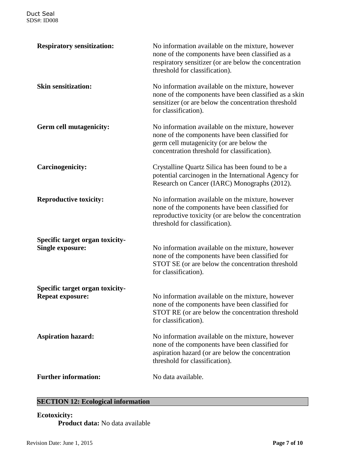| <b>Respiratory sensitization:</b>                          | No information available on the mixture, however<br>none of the components have been classified as a<br>respiratory sensitizer (or are below the concentration<br>threshold for classification). |  |
|------------------------------------------------------------|--------------------------------------------------------------------------------------------------------------------------------------------------------------------------------------------------|--|
| <b>Skin sensitization:</b>                                 | No information available on the mixture, however<br>none of the components have been classified as a skin<br>sensitizer (or are below the concentration threshold<br>for classification).        |  |
| <b>Germ cell mutagenicity:</b>                             | No information available on the mixture, however<br>none of the components have been classified for<br>germ cell mutagenicity (or are below the<br>concentration threshold for classification).  |  |
| <b>Carcinogenicity:</b>                                    | Crystalline Quartz Silica has been found to be a<br>potential carcinogen in the International Agency for<br>Research on Cancer (IARC) Monographs (2012).                                         |  |
| <b>Reproductive toxicity:</b>                              | No information available on the mixture, however<br>none of the components have been classified for<br>reproductive toxicity (or are below the concentration<br>threshold for classification).   |  |
| Specific target organ toxicity-<br><b>Single exposure:</b> | No information available on the mixture, however<br>none of the components have been classified for<br>STOT SE (or are below the concentration threshold<br>for classification).                 |  |
| Specific target organ toxicity-<br><b>Repeat exposure:</b> | No information available on the mixture, however<br>none of the components have been classified for<br>STOT RE (or are below the concentration threshold<br>for classification).                 |  |
| <b>Aspiration hazard:</b>                                  | No information available on the mixture, however<br>none of the components have been classified for<br>aspiration hazard (or are below the concentration<br>threshold for classification).       |  |
| <b>Further information:</b>                                | No data available.                                                                                                                                                                               |  |

# **SECTION 12: Ecological information**

**Ecotoxicity: Product data:** No data available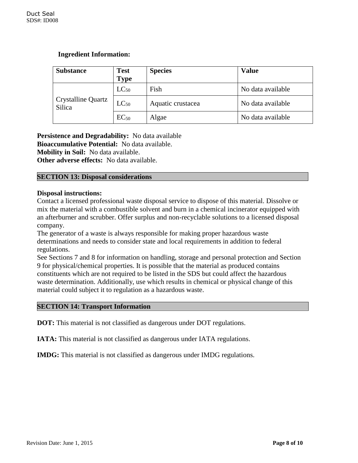## **Ingredient Information:**

| <b>Substance</b>             | <b>Test</b><br><b>Type</b> | <b>Species</b>    | <b>Value</b>      |
|------------------------------|----------------------------|-------------------|-------------------|
| Crystalline Quartz<br>Silica | $LC_{50}$                  | Fish              | No data available |
|                              | $LC_{50}$                  | Aquatic crustacea | No data available |
|                              | $EC_{50}$                  | Algae             | No data available |

**Persistence and Degradability:** No data available **Bioaccumulative Potential:** No data available.

**Mobility in Soil:** No data available.

**Other adverse effects:** No data available.

## **SECTION 13: Disposal considerations**

## **Disposal instructions:**

Contact a licensed professional waste disposal service to dispose of this material. Dissolve or mix the material with a combustible solvent and burn in a chemical incinerator equipped with an afterburner and scrubber. Offer surplus and non-recyclable solutions to a licensed disposal company.

The generator of a waste is always responsible for making proper hazardous waste determinations and needs to consider state and local requirements in addition to federal regulations.

See Sections 7 and 8 for information on handling, storage and personal protection and Section 9 for physical/chemical properties. It is possible that the material as produced contains constituents which are not required to be listed in the SDS but could affect the hazardous waste determination. Additionally, use which results in chemical or physical change of this material could subject it to regulation as a hazardous waste.

## **SECTION 14: Transport Information**

**DOT:** This material is not classified as dangerous under DOT regulations.

**IATA:** This material is not classified as dangerous under IATA regulations.

**IMDG:** This material is not classified as dangerous under IMDG regulations.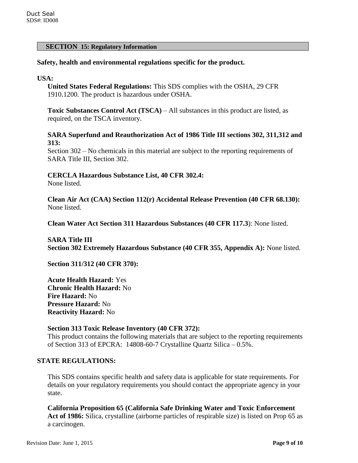#### **SECTION 15: Regulatory Information**

#### **Safety, health and environmental regulations specific for the product.**

#### **USA:**

**United States Federal Regulations:** This SDS complies with the OSHA, 29 CFR 1910.1200. The product is hazardous under OSHA.

**Toxic Substances Control Act (TSCA)** – All substances in this product are listed, as required, on the TSCA inventory.

#### **SARA Superfund and Reauthorization Act of 1986 Title III sections 302, 311,312 and 313:**

Section 302 – No chemicals in this material are subject to the reporting requirements of SARA Title III, Section 302.

## **CERCLA Hazardous Substance List, 40 CFR 302.4:**

None listed.

**Clean Air Act (CAA) Section 112(r) Accidental Release Prevention (40 CFR 68.130):** None listed.

**Clean Water Act Section 311 Hazardous Substances (40 CFR 117.3**): None listed.

**SARA Title III Section 302 Extremely Hazardous Substance (40 CFR 355, Appendix A):** None listed.

**Section 311/312 (40 CFR 370):**

**Acute Health Hazard:** Yes **Chronic Health Hazard:** No **Fire Hazard:** No **Pressure Hazard:** No **Reactivity Hazard:** No

#### **Section 313 Toxic Release Inventory (40 CFR 372):**

This product contains the following materials that are subject to the reporting requirements of Section 313 of EPCRA: 14808-60-7 Crystalline Quartz Silica – 0.5%.

#### **STATE REGULATIONS:**

This SDS contains specific health and safety data is applicable for state requirements. For details on your regulatory requirements you should contact the appropriate agency in your state.

**California Proposition 65 (California Safe Drinking Water and Toxic Enforcement Act of 1986:** Silica, crystalline (airborne particles of respirable size) is listed on Prop 65 as a carcinogen.